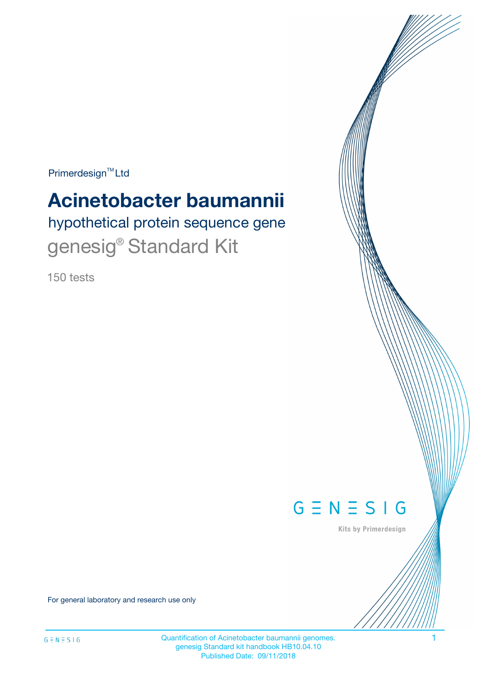$Primerdesign^{\text{TM}}Ltd$ 

# **Acinetobacter baumannii**

hypothetical protein sequence gene genesig<sup>®</sup> Standard Kit

150 tests



Kits by Primerdesign

For general laboratory and research use only

Quantification of Acinetobacter baumannii genomes. 1 genesig Standard kit handbook HB10.04.10 Published Date: 09/11/2018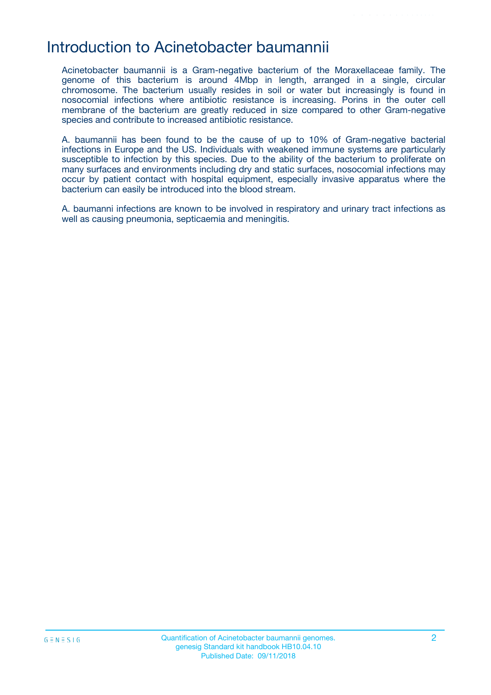# Introduction to Acinetobacter baumannii

Acinetobacter baumannii is a Gram-negative bacterium of the Moraxellaceae family. The genome of this bacterium is around 4Mbp in length, arranged in a single, circular chromosome. The bacterium usually resides in soil or water but increasingly is found in nosocomial infections where antibiotic resistance is increasing. Porins in the outer cell membrane of the bacterium are greatly reduced in size compared to other Gram-negative species and contribute to increased antibiotic resistance.

A. baumannii has been found to be the cause of up to 10% of Gram-negative bacterial infections in Europe and the US. Individuals with weakened immune systems are particularly susceptible to infection by this species. Due to the ability of the bacterium to proliferate on many surfaces and environments including dry and static surfaces, nosocomial infections may occur by patient contact with hospital equipment, especially invasive apparatus where the bacterium can easily be introduced into the blood stream.

A. baumanni infections are known to be involved in respiratory and urinary tract infections as well as causing pneumonia, septicaemia and meningitis.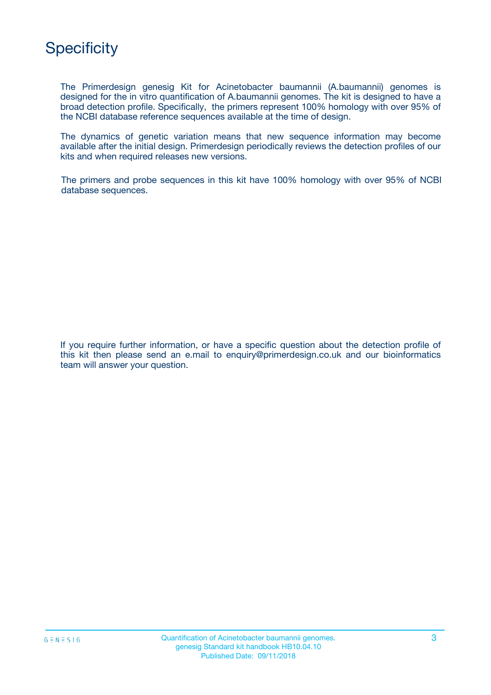

The Primerdesign genesig Kit for Acinetobacter baumannii (A.baumannii) genomes is designed for the in vitro quantification of A.baumannii genomes. The kit is designed to have a broad detection profile. Specifically, the primers represent 100% homology with over 95% of the NCBI database reference sequences available at the time of design.

The dynamics of genetic variation means that new sequence information may become available after the initial design. Primerdesign periodically reviews the detection profiles of our kits and when required releases new versions.

The primers and probe sequences in this kit have 100% homology with over 95% of NCBI database sequences.

If you require further information, or have a specific question about the detection profile of this kit then please send an e.mail to enquiry@primerdesign.co.uk and our bioinformatics team will answer your question.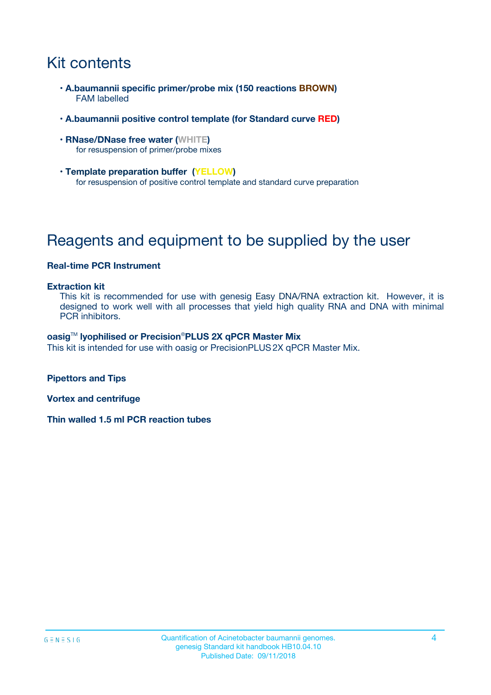# Kit contents

- **A.baumannii specific primer/probe mix (150 reactions BROWN)** FAM labelled
- **A.baumannii positive control template (for Standard curve RED)**
- **RNase/DNase free water (WHITE)** for resuspension of primer/probe mixes
- **Template preparation buffer (YELLOW)** for resuspension of positive control template and standard curve preparation

# Reagents and equipment to be supplied by the user

#### **Real-time PCR Instrument**

#### **Extraction kit**

This kit is recommended for use with genesig Easy DNA/RNA extraction kit. However, it is designed to work well with all processes that yield high quality RNA and DNA with minimal PCR inhibitors.

#### **oasig**TM **lyophilised or Precision**®**PLUS 2X qPCR Master Mix**

This kit is intended for use with oasig or PrecisionPLUS2X qPCR Master Mix.

**Pipettors and Tips**

**Vortex and centrifuge**

**Thin walled 1.5 ml PCR reaction tubes**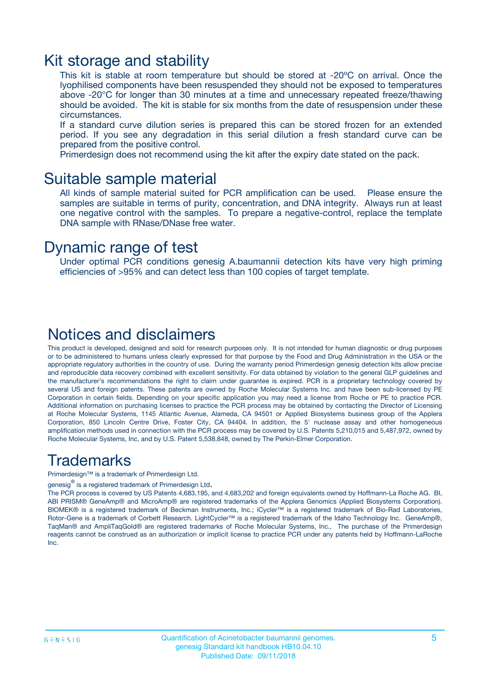### Kit storage and stability

This kit is stable at room temperature but should be stored at -20ºC on arrival. Once the lyophilised components have been resuspended they should not be exposed to temperatures above -20°C for longer than 30 minutes at a time and unnecessary repeated freeze/thawing should be avoided. The kit is stable for six months from the date of resuspension under these circumstances.

If a standard curve dilution series is prepared this can be stored frozen for an extended period. If you see any degradation in this serial dilution a fresh standard curve can be prepared from the positive control.

Primerdesign does not recommend using the kit after the expiry date stated on the pack.

### Suitable sample material

All kinds of sample material suited for PCR amplification can be used. Please ensure the samples are suitable in terms of purity, concentration, and DNA integrity. Always run at least one negative control with the samples. To prepare a negative-control, replace the template DNA sample with RNase/DNase free water.

### Dynamic range of test

Under optimal PCR conditions genesig A.baumannii detection kits have very high priming efficiencies of >95% and can detect less than 100 copies of target template.

### Notices and disclaimers

This product is developed, designed and sold for research purposes only. It is not intended for human diagnostic or drug purposes or to be administered to humans unless clearly expressed for that purpose by the Food and Drug Administration in the USA or the appropriate regulatory authorities in the country of use. During the warranty period Primerdesign genesig detection kits allow precise and reproducible data recovery combined with excellent sensitivity. For data obtained by violation to the general GLP guidelines and the manufacturer's recommendations the right to claim under guarantee is expired. PCR is a proprietary technology covered by several US and foreign patents. These patents are owned by Roche Molecular Systems Inc. and have been sub-licensed by PE Corporation in certain fields. Depending on your specific application you may need a license from Roche or PE to practice PCR. Additional information on purchasing licenses to practice the PCR process may be obtained by contacting the Director of Licensing at Roche Molecular Systems, 1145 Atlantic Avenue, Alameda, CA 94501 or Applied Biosystems business group of the Applera Corporation, 850 Lincoln Centre Drive, Foster City, CA 94404. In addition, the 5' nuclease assay and other homogeneous amplification methods used in connection with the PCR process may be covered by U.S. Patents 5,210,015 and 5,487,972, owned by Roche Molecular Systems, Inc, and by U.S. Patent 5,538,848, owned by The Perkin-Elmer Corporation.

### Trademarks

Primerdesign™ is a trademark of Primerdesign Ltd.

genesig $^\circledR$  is a registered trademark of Primerdesign Ltd.

The PCR process is covered by US Patents 4,683,195, and 4,683,202 and foreign equivalents owned by Hoffmann-La Roche AG. BI, ABI PRISM® GeneAmp® and MicroAmp® are registered trademarks of the Applera Genomics (Applied Biosystems Corporation). BIOMEK® is a registered trademark of Beckman Instruments, Inc.; iCycler™ is a registered trademark of Bio-Rad Laboratories, Rotor-Gene is a trademark of Corbett Research. LightCycler™ is a registered trademark of the Idaho Technology Inc. GeneAmp®, TaqMan® and AmpliTaqGold® are registered trademarks of Roche Molecular Systems, Inc., The purchase of the Primerdesign reagents cannot be construed as an authorization or implicit license to practice PCR under any patents held by Hoffmann-LaRoche Inc.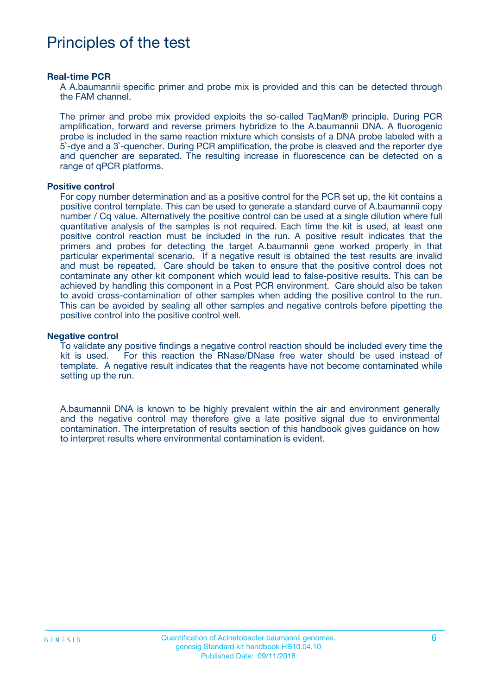# Principles of the test

#### **Real-time PCR**

A A.baumannii specific primer and probe mix is provided and this can be detected through the FAM channel.

The primer and probe mix provided exploits the so-called TaqMan® principle. During PCR amplification, forward and reverse primers hybridize to the A.baumannii DNA. A fluorogenic probe is included in the same reaction mixture which consists of a DNA probe labeled with a 5`-dye and a 3`-quencher. During PCR amplification, the probe is cleaved and the reporter dye and quencher are separated. The resulting increase in fluorescence can be detected on a range of qPCR platforms.

#### **Positive control**

For copy number determination and as a positive control for the PCR set up, the kit contains a positive control template. This can be used to generate a standard curve of A.baumannii copy number / Cq value. Alternatively the positive control can be used at a single dilution where full quantitative analysis of the samples is not required. Each time the kit is used, at least one positive control reaction must be included in the run. A positive result indicates that the primers and probes for detecting the target A.baumannii gene worked properly in that particular experimental scenario. If a negative result is obtained the test results are invalid and must be repeated. Care should be taken to ensure that the positive control does not contaminate any other kit component which would lead to false-positive results. This can be achieved by handling this component in a Post PCR environment. Care should also be taken to avoid cross-contamination of other samples when adding the positive control to the run. This can be avoided by sealing all other samples and negative controls before pipetting the positive control into the positive control well.

#### **Negative control**

To validate any positive findings a negative control reaction should be included every time the kit is used. For this reaction the RNase/DNase free water should be used instead of template. A negative result indicates that the reagents have not become contaminated while setting up the run.

A.baumannii DNA is known to be highly prevalent within the air and environment generally and the negative control may therefore give a late positive signal due to environmental contamination. The interpretation of results section of this handbook gives guidance on how to interpret results where environmental contamination is evident.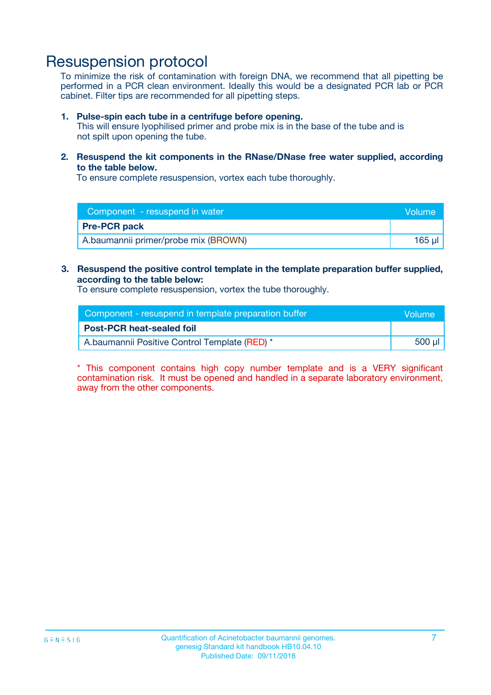# Resuspension protocol

To minimize the risk of contamination with foreign DNA, we recommend that all pipetting be performed in a PCR clean environment. Ideally this would be a designated PCR lab or PCR cabinet. Filter tips are recommended for all pipetting steps.

#### **1. Pulse-spin each tube in a centrifuge before opening.**

This will ensure lyophilised primer and probe mix is in the base of the tube and is not spilt upon opening the tube.

**2. Resuspend the kit components in the RNase/DNase free water supplied, according to the table below.**

To ensure complete resuspension, vortex each tube thoroughly.

| Component - resuspend in water       | <b>Nolume</b> |
|--------------------------------------|---------------|
| <b>Pre-PCR pack</b>                  |               |
| A.baumannii primer/probe mix (BROWN) | 165 ul        |

### **3. Resuspend the positive control template in the template preparation buffer supplied, according to the table below:**

To ensure complete resuspension, vortex the tube thoroughly.

| Component - resuspend in template preparation buffer | lVolume' |
|------------------------------------------------------|----------|
| <b>Post-PCR heat-sealed foil</b>                     |          |
| A.baumannii Positive Control Template (RED) *        | 500 µl   |

\* This component contains high copy number template and is a VERY significant contamination risk. It must be opened and handled in a separate laboratory environment, away from the other components.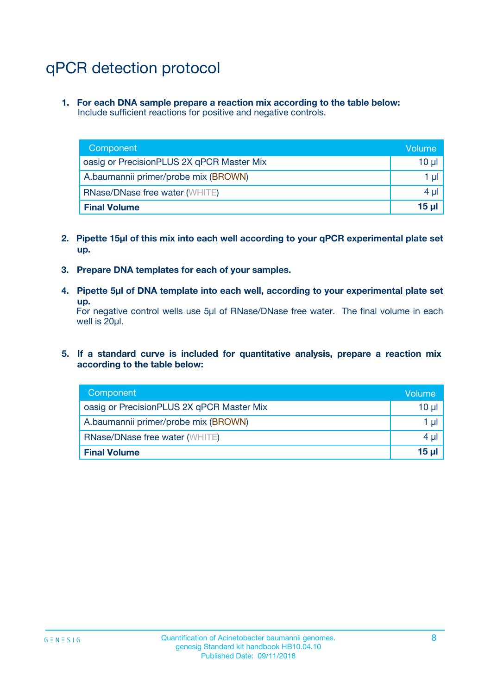# qPCR detection protocol

**1. For each DNA sample prepare a reaction mix according to the table below:** Include sufficient reactions for positive and negative controls.

| Component                                 | Volume   |
|-------------------------------------------|----------|
| oasig or PrecisionPLUS 2X qPCR Master Mix | 10 $\mu$ |
| A.baumannii primer/probe mix (BROWN)      | 1 $\mu$  |
| <b>RNase/DNase free water (WHITE)</b>     | $4 \mu$  |
| <b>Final Volume</b>                       | $15 \mu$ |

- **2. Pipette 15µl of this mix into each well according to your qPCR experimental plate set up.**
- **3. Prepare DNA templates for each of your samples.**
- **4. Pipette 5µl of DNA template into each well, according to your experimental plate set up.**

For negative control wells use 5µl of RNase/DNase free water. The final volume in each well is 20µl.

**5. If a standard curve is included for quantitative analysis, prepare a reaction mix according to the table below:**

| Component                                 | Volume     |
|-------------------------------------------|------------|
| oasig or PrecisionPLUS 2X qPCR Master Mix | 10 µl      |
| A.baumannii primer/probe mix (BROWN)      | 1 µI       |
| <b>RNase/DNase free water (WHITE)</b>     | $4 \mu$    |
| <b>Final Volume</b>                       | $15$ $\mu$ |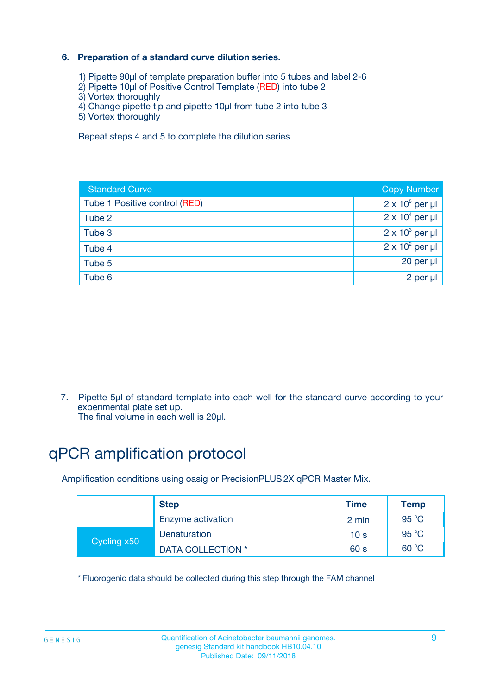### **6. Preparation of a standard curve dilution series.**

- 1) Pipette 90µl of template preparation buffer into 5 tubes and label 2-6
- 2) Pipette 10µl of Positive Control Template (RED) into tube 2
- 3) Vortex thoroughly
- 4) Change pipette tip and pipette 10µl from tube 2 into tube 3
- 5) Vortex thoroughly

Repeat steps 4 and 5 to complete the dilution series

| <b>Standard Curve</b>         | <b>Copy Number</b>     |
|-------------------------------|------------------------|
| Tube 1 Positive control (RED) | $2 \times 10^5$ per µl |
| Tube 2                        | $2 \times 10^4$ per µl |
| Tube 3                        | $2 \times 10^3$ per µl |
| Tube 4                        | $2 \times 10^2$ per µl |
| Tube 5                        | 20 per µl              |
| Tube 6                        | $2$ per $\mu$          |

7. Pipette 5µl of standard template into each well for the standard curve according to your experimental plate set up.

The final volume in each well is 20µl.

# qPCR amplification protocol

Amplification conditions using oasig or PrecisionPLUS2X qPCR Master Mix.

| <b>Step</b> |                   | <b>Time</b>     | Temp    |
|-------------|-------------------|-----------------|---------|
|             | Enzyme activation | 2 min           | 95 °C   |
| Cycling x50 | Denaturation      | 10 <sub>s</sub> | 95 $°C$ |
|             | DATA COLLECTION * | 60 s            | 60 °C   |

\* Fluorogenic data should be collected during this step through the FAM channel